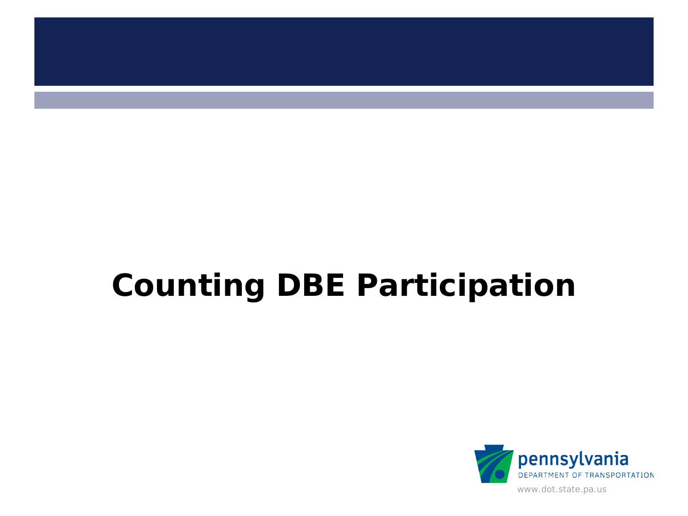

# **Counting DBE Participation**

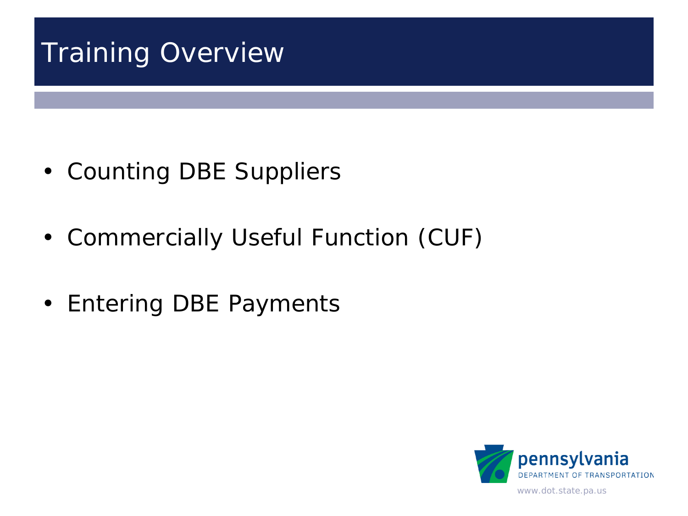## Training Overview

- Counting DBE Suppliers
- Commercially Useful Function (CUF)
- Entering DBE Payments

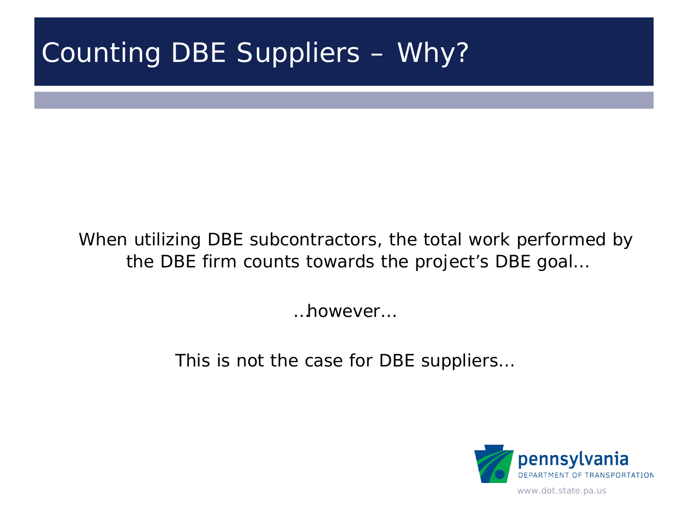#### Counting DBE Suppliers – Why?

#### When utilizing DBE subcontractors, the total work performed by the DBE firm counts towards the project's DBE goal…

…however…

This is not the case for DBE suppliers…

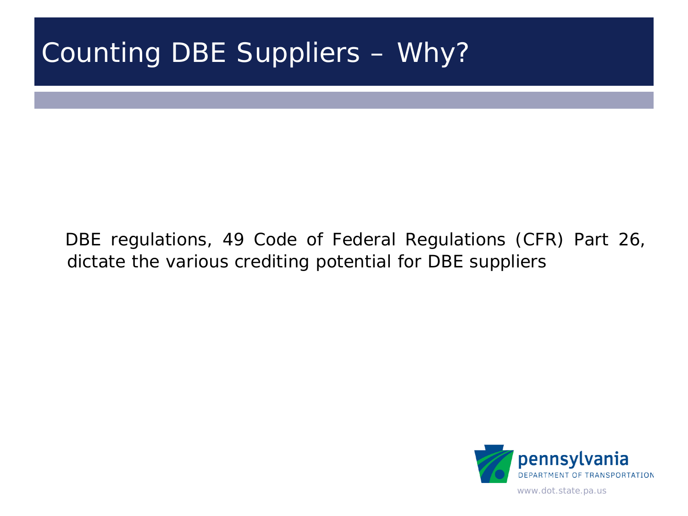#### Counting DBE Suppliers – Why?

DBE regulations, 49 Code of Federal Regulations (CFR) Part 26, dictate the various crediting potential for DBE suppliers

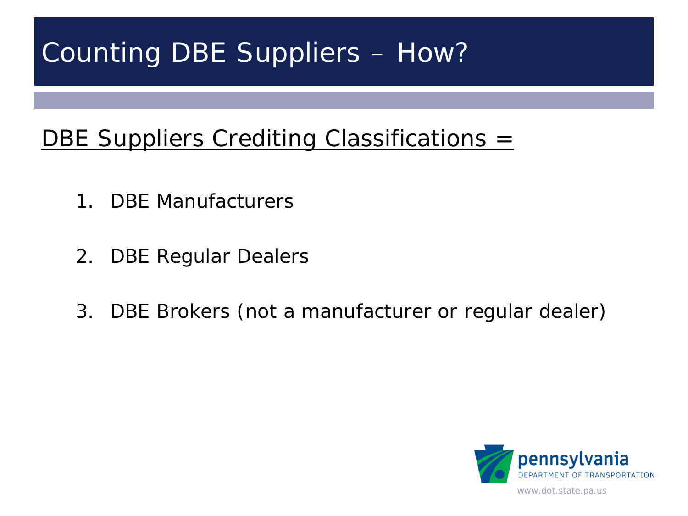#### DBE Suppliers Crediting Classifications =

- 1. DBE Manufacturers
- 2. DBE Regular Dealers
- 3. DBE Brokers (not a manufacturer or regular dealer)

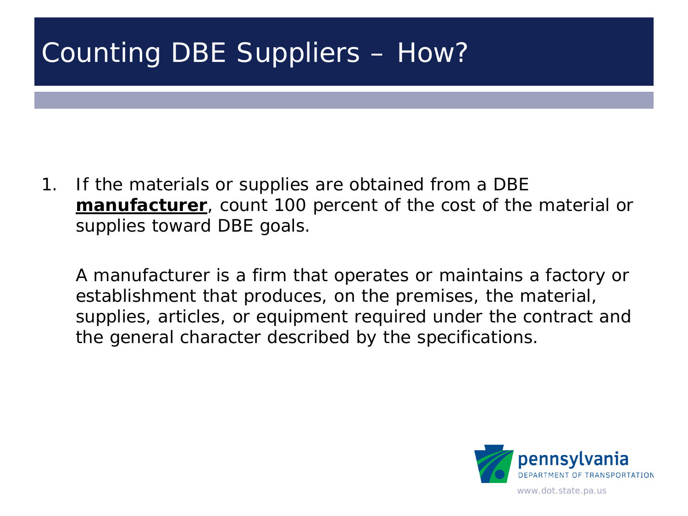1. If the materials or supplies are obtained from a DBE **manufacturer**, count 100 percent of the cost of the material or supplies toward DBE goals.

A manufacturer is a firm that operates or maintains a factory or establishment that produces, on the premises, the material, supplies, articles, or equipment required under the contract and the general character described by the specifications.

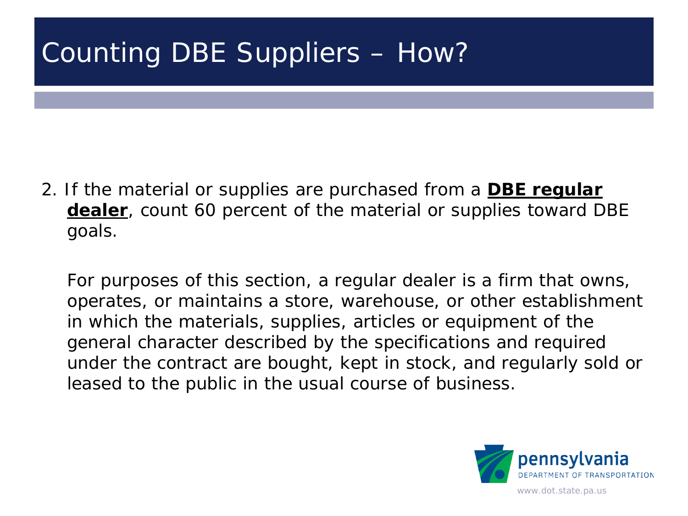2. If the material or supplies are purchased from a **DBE regular dealer**, count 60 percent of the material or supplies toward DBE goals.

For purposes of this section, a regular dealer is a firm that owns, operates, or maintains a store, warehouse, or other establishment in which the materials, supplies, articles or equipment of the general character described by the specifications and required under the contract are bought, kept in stock, and regularly sold or leased to the public in the usual course of business.

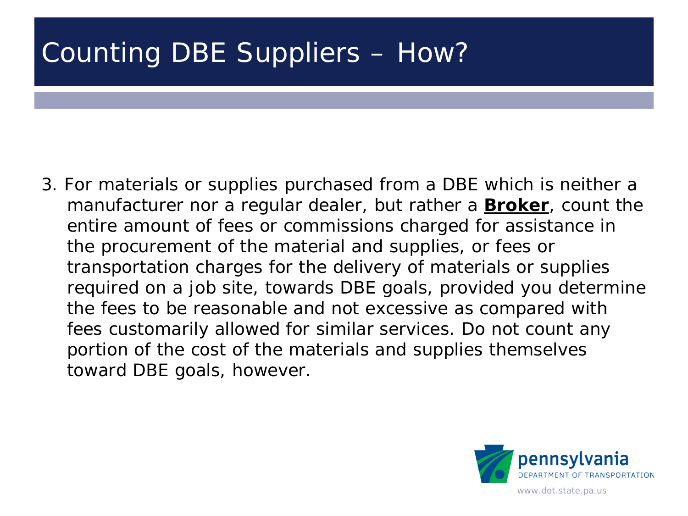3. For materials or supplies purchased from a DBE which is neither a manufacturer nor a regular dealer, but rather a **Broker**, count the entire amount of fees or commissions charged for assistance in the procurement of the material and supplies, or fees or transportation charges for the delivery of materials or supplies required on a job site, towards DBE goals, provided you determine the fees to be reasonable and not excessive as compared with fees customarily allowed for similar services. Do not count any portion of the cost of the materials and supplies themselves toward DBE goals, however.

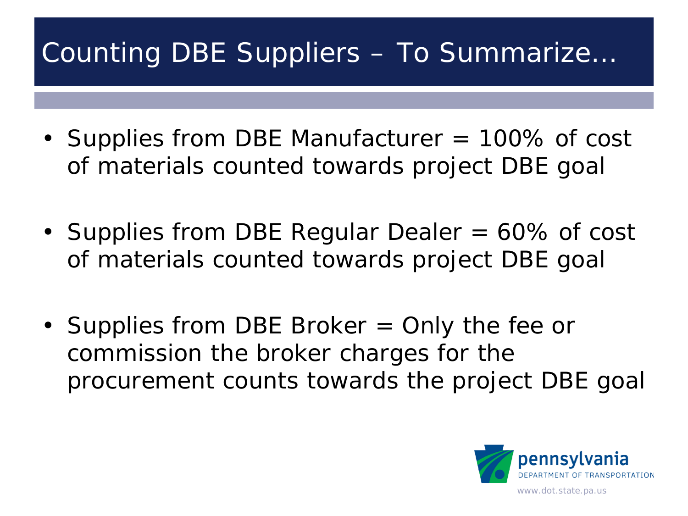#### Counting DBE Suppliers – To Summarize…

- Supplies from DBE Manufacturer = 100% of cost of materials counted towards project DBE goal
- Supplies from DBE Regular Dealer = 60% of cost of materials counted towards project DBE goal
- Supplies from DBE Broker = Only the fee or commission the broker charges for the procurement counts towards the project DBE goal

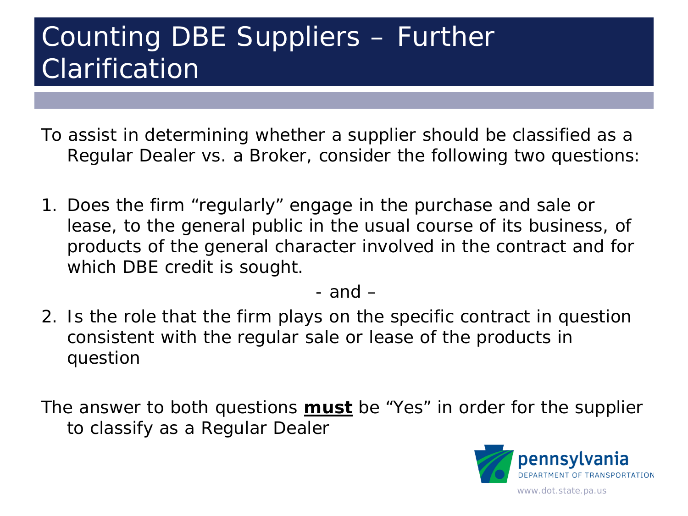#### Counting DBE Suppliers – Further **Clarification**

To assist in determining whether a supplier should be classified as a Regular Dealer vs. a Broker, consider the following two questions:

1. Does the firm "regularly" engage in the purchase and sale or lease, to the general public in the usual course of its business, of products of the general character involved in the contract and for which DBE credit is sought.

- and –

2. Is the role that the firm plays on the specific contract in question consistent with the regular sale or lease of the products in question

The answer to both questions **must** be "Yes" in order for the supplier to classify as a Regular Dealer

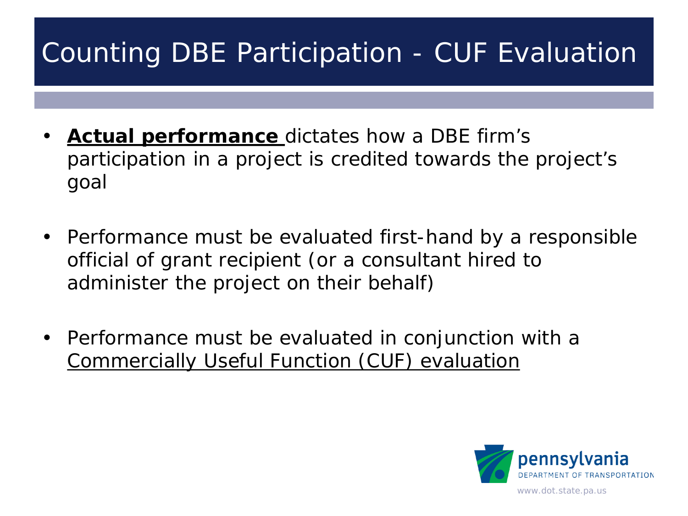- **Actual performance** dictates how a DBE firm's participation in a project is credited towards the project's goal
- Performance must be evaluated first-hand by a responsible official of grant recipient (or a consultant hired to administer the project on their behalf)
- Performance must be evaluated in conjunction with a Commercially Useful Function (CUF) evaluation

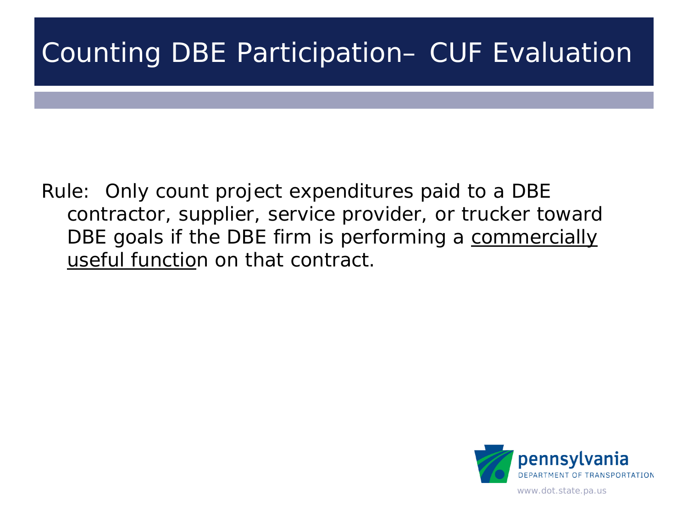Rule: Only count project expenditures paid to a DBE contractor, supplier, service provider, or trucker toward DBE goals if the DBE firm is performing a commercially useful function on that contract.

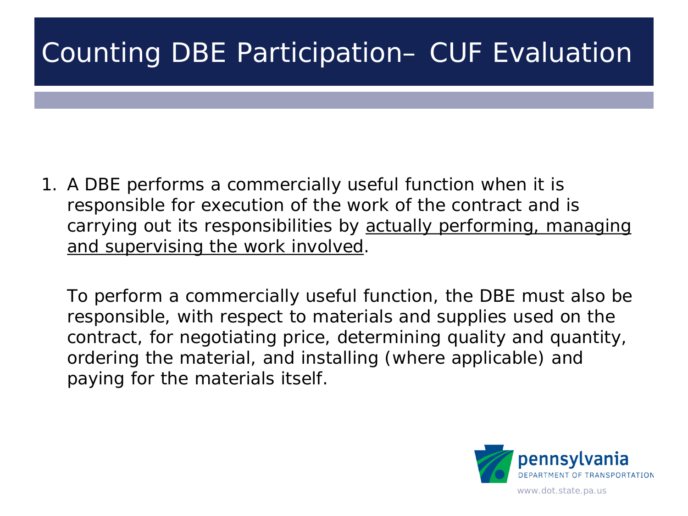1. A DBE performs a commercially useful function when it is responsible for execution of the work of the contract and is carrying out its responsibilities by actually performing, managing and supervising the work involved.

To perform a commercially useful function, the DBE must also be responsible, with respect to materials and supplies used on the contract, for negotiating price, determining quality and quantity, ordering the material, and installing (where applicable) and paying for the materials itself.

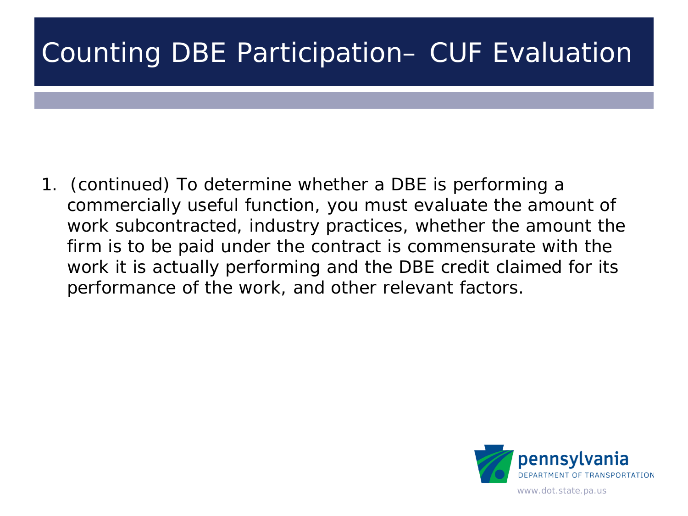1. (continued) To determine whether a DBE is performing a commercially useful function, you must evaluate the amount of work subcontracted, industry practices, whether the amount the firm is to be paid under the contract is commensurate with the work it is actually performing and the DBE credit claimed for its performance of the work, and other relevant factors.

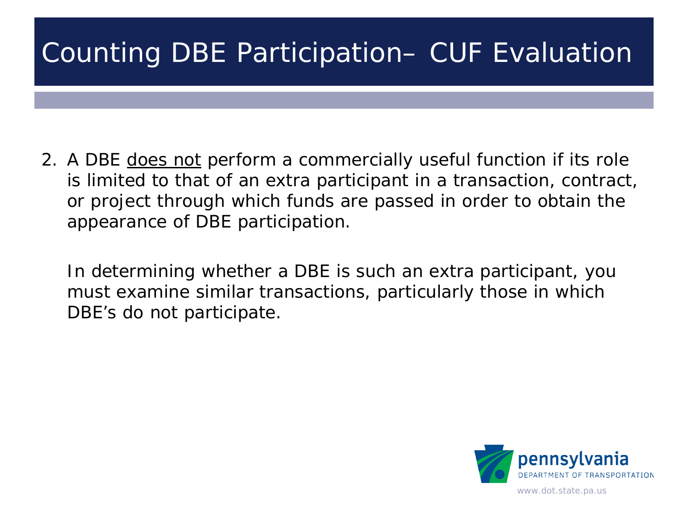2. A DBE does not perform a commercially useful function if its role is limited to that of an extra participant in a transaction, contract, or project through which funds are passed in order to obtain the appearance of DBE participation.

In determining whether a DBE is such an extra participant, you must examine similar transactions, particularly those in which DBE's do not participate.

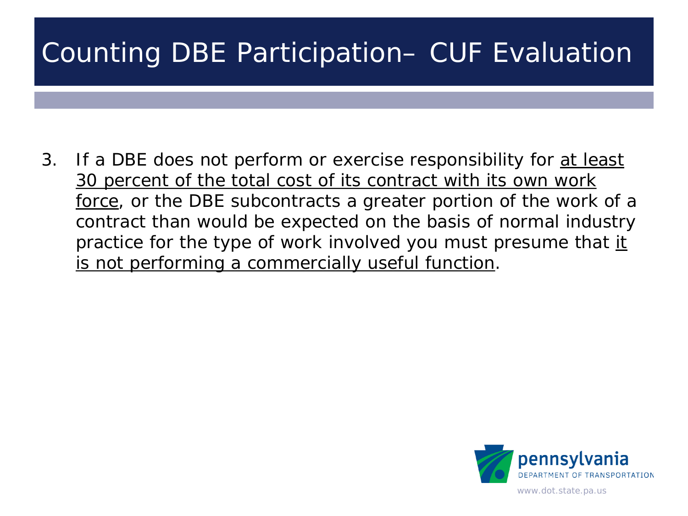3. If a DBE does not perform or exercise responsibility for at least 30 percent of the total cost of its contract with its own work force, or the DBE subcontracts a greater portion of the work of a contract than would be expected on the basis of normal industry practice for the type of work involved you must presume that it is not performing a commercially useful function.

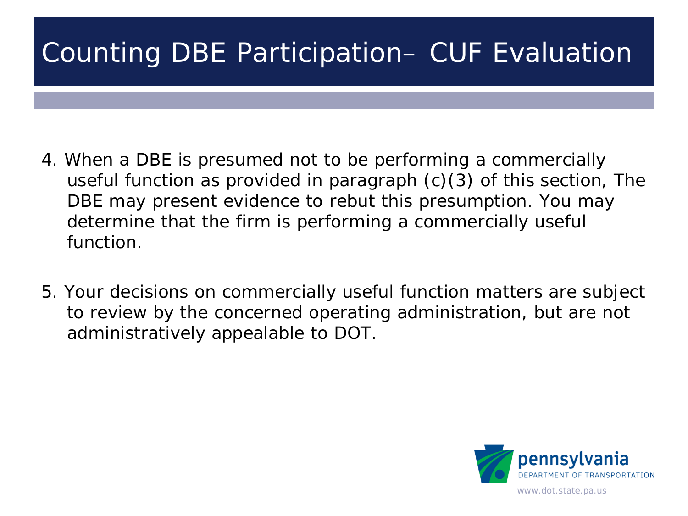- 4. When a DBE is presumed not to be performing a commercially useful function as provided in paragraph (c)(3) of this section, The DBE may present evidence to rebut this presumption. You may determine that the firm is performing a commercially useful function.
- 5. Your decisions on commercially useful function matters are subject to review by the concerned operating administration, but are not administratively appealable to DOT.

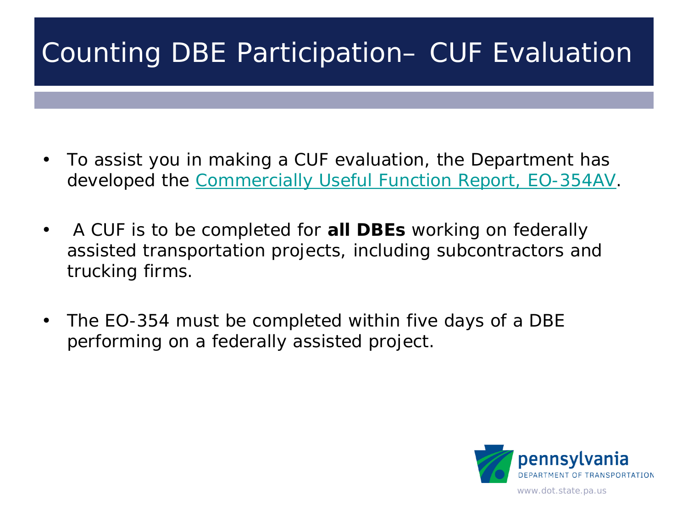- To assist you in making a CUF evaluation, the Department has developed the [Commercially Useful Function Report, EO-354AV](http://www.dot.state.pa.us/public/PubsForms/Forms/EO-354AV.pdf).
- A CUF is to be completed for **all DBEs** working on federally assisted transportation projects, including subcontractors and trucking firms.
- The EO-354 must be completed within five days of a DBE performing on a federally assisted project.

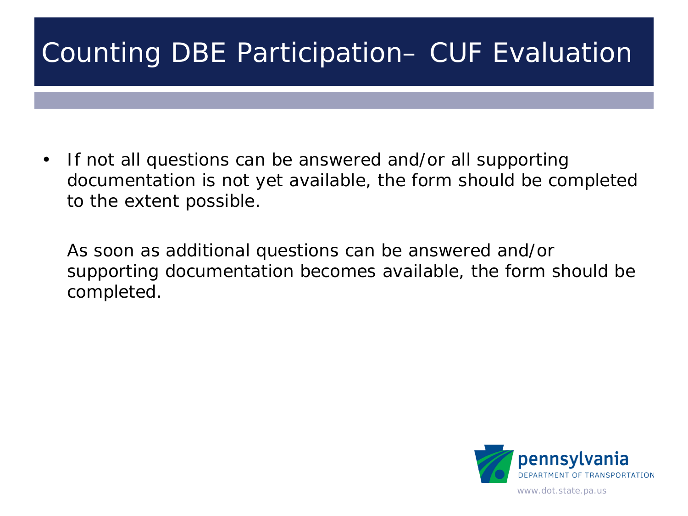• If not all questions can be answered and/or all supporting documentation is not yet available, the form should be completed to the extent possible.

As soon as additional questions can be answered and/or supporting documentation becomes available, the form should be completed.

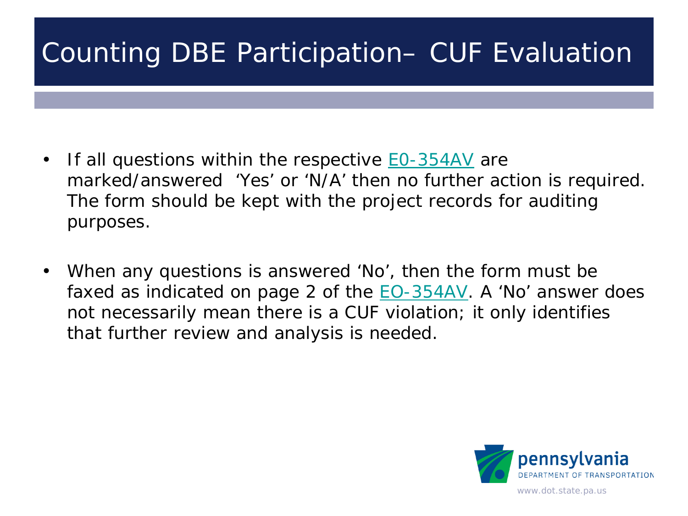- If all questions within the respective **EO-354AV** are marked/answered 'Yes' or 'N/A' then no further action is required. The form should be kept with the project records for auditing purposes.
- When any questions is answered 'No', then the form must be faxed as indicated on page 2 of the  $EO-354AV$ . A 'No' answer does not necessarily mean there is a CUF violation; it only identifies that further review and analysis is needed.

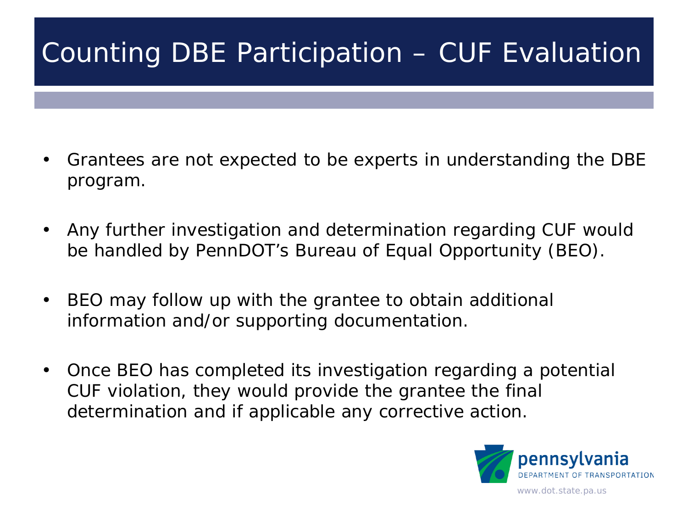- Grantees are not expected to be experts in understanding the DBE program.
- Any further investigation and determination regarding CUF would be handled by PennDOT's Bureau of Equal Opportunity (BEO).
- BEO may follow up with the grantee to obtain additional information and/or supporting documentation.
- Once BEO has completed its investigation regarding a potential CUF violation, they would provide the grantee the final determination and if applicable any corrective action.

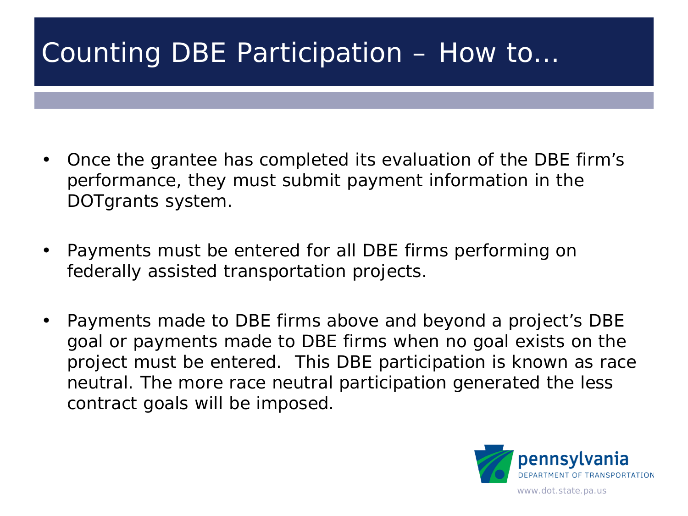#### Counting DBE Participation – How to…

- Once the grantee has completed its evaluation of the DBE firm's performance, they must submit payment information in the DOTgrants system.
- Payments must be entered for all DBE firms performing on federally assisted transportation projects.
- Payments made to DBE firms above and beyond a project's DBE goal or payments made to DBE firms when no goal exists on the project must be entered. This DBE participation is known as race neutral. The more race neutral participation generated the less contract goals will be imposed.

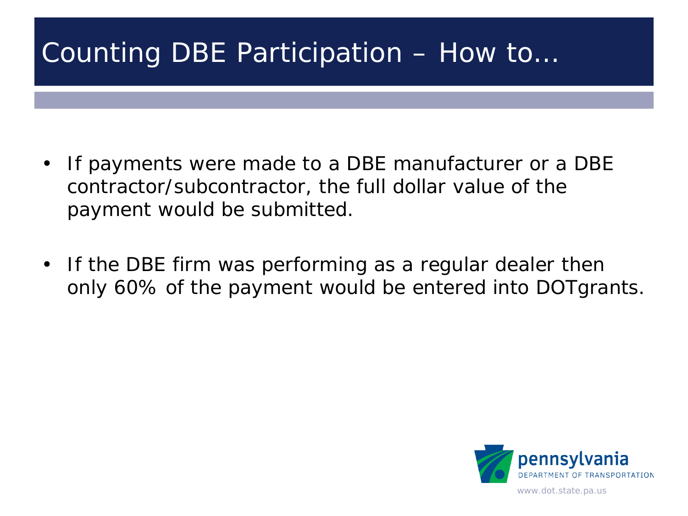#### Counting DBE Participation – How to…

- If payments were made to a DBE manufacturer or a DBE contractor/subcontractor, the full dollar value of the payment would be submitted.
- If the DBE firm was performing as a regular dealer then only 60% of the payment would be entered into DOTgrants.

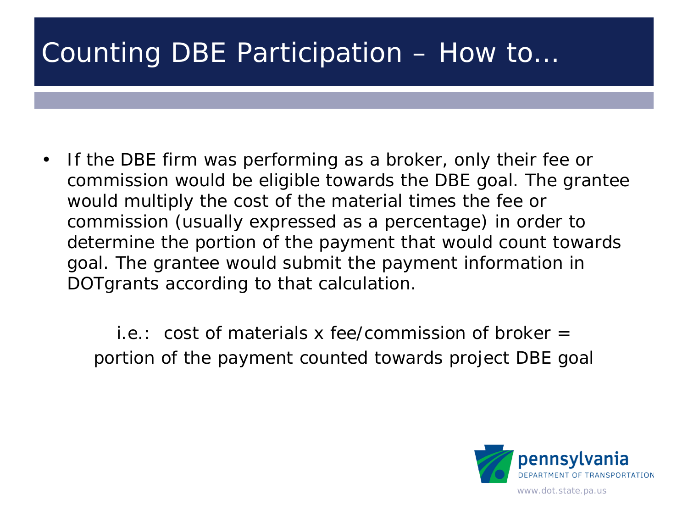#### Counting DBE Participation – How to…

• If the DBE firm was performing as a broker, only their fee or commission would be eligible towards the DBE goal. The grantee would multiply the cost of the material times the fee or commission (usually expressed as a percentage) in order to determine the portion of the payment that would count towards goal. The grantee would submit the payment information in DOTgrants according to that calculation.

i.e.: cost of materials x fee/commission of broker  $=$ portion of the payment counted towards project DBE goal